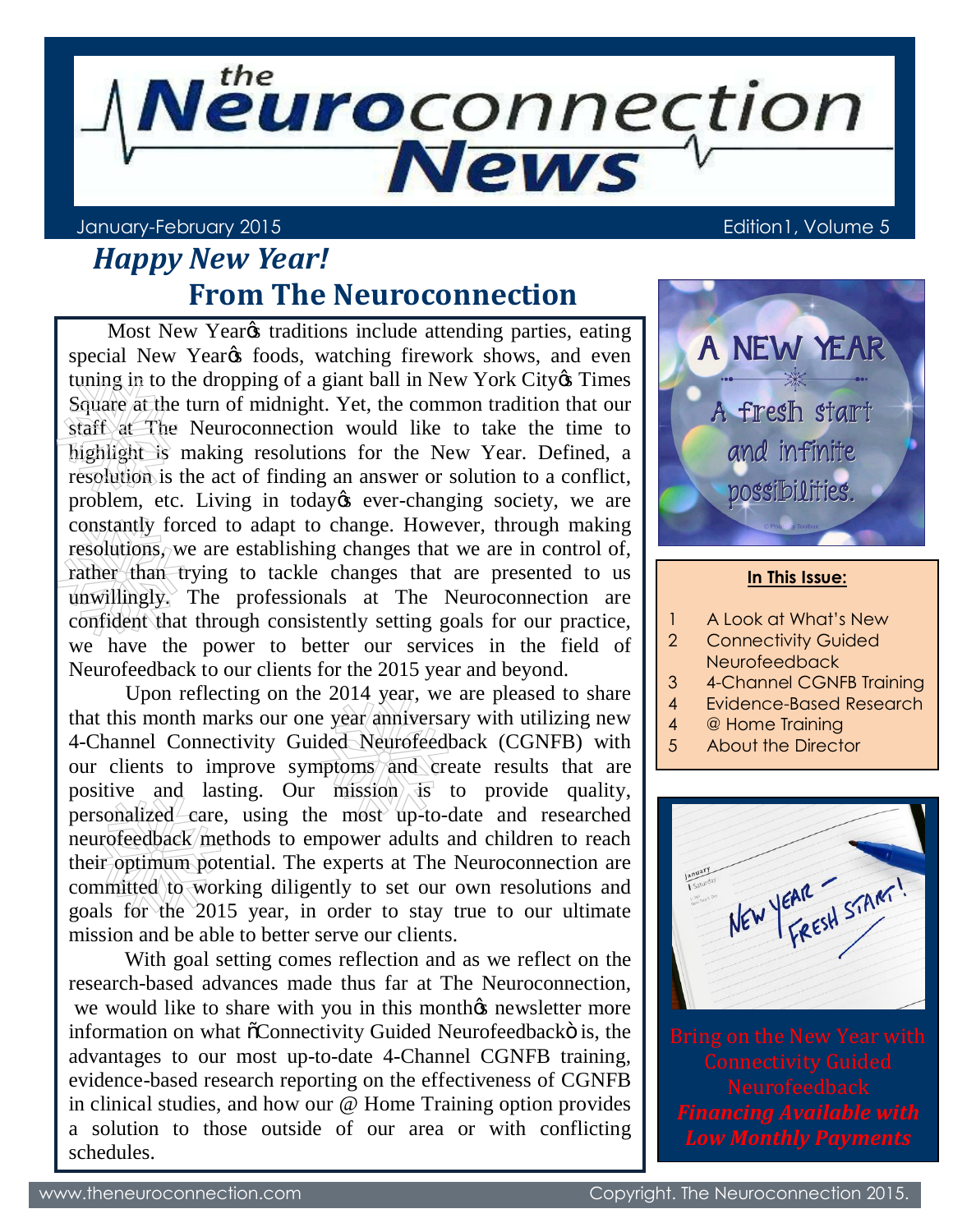

### January-February 2015 Edition1, Volume 5

# *Happy New Year!*  **From The Neuroconnection**

Most New Year<sub>*os*</sub> traditions include attending parties, eating special New Year<sub>*o*s</sub> foods, watching firework shows, and even tuning in to the dropping of a giant ball in New York City & Times Square at the turn of midnight. Yet, the common tradition that our staff at The Neuroconnection would like to take the time to highlight is making resolutions for the New Year. Defined, a resolution is the act of finding an answer or solution to a conflict, problem, etc. Living in today & ever-changing society, we are constantly forced to adapt to change. However, through making resolutions, we are establishing changes that we are in control of, rather than trying to tackle changes that are presented to us unwillingly. The professionals at The Neuroconnection are confident that through consistently setting goals for our practice, we have the power to better our services in the field of Neurofeedback to our clients for the 2015 year and beyond.

 Upon reflecting on the 2014 year, we are pleased to share that this month marks our one year anniversary with utilizing new 4-Channel Connectivity Guided Neurofeedback (CGNFB) with our clients to improve symptoms and create results that are positive and lasting. Our mission  $\overline{ds}$  to provide quality, personalized care, using the most up-to-date and researched neurofeedback methods to empower adults and children to reach their optimum potential. The experts at The Neuroconnection are committed to working diligently to set our own resolutions and goals for the 2015 year, in order to stay true to our ultimate mission and be able to better serve our clients.

 With goal setting comes reflection and as we reflect on the research-based advances made thus far at The Neuroconnection, we would like to share with you in this month the newsletter more information on what  $\tilde{o}$ Connectivity Guided Neurofeedbacko is, the advantages to our most up-to-date 4-Channel CGNFB training, evidence-based research reporting on the effectiveness of CGNFB in clinical studies, and how our @ Home Training option provides a solution to those outside of our area or with conflicting schedules.



- 1 A Look at What's New
- 2 Connectivity Guided Neurofeedback
- 3 4-Channel CGNFB Training
- 4 Evidence-Based Research
- 4 @ Home Training
- 5 About the Director

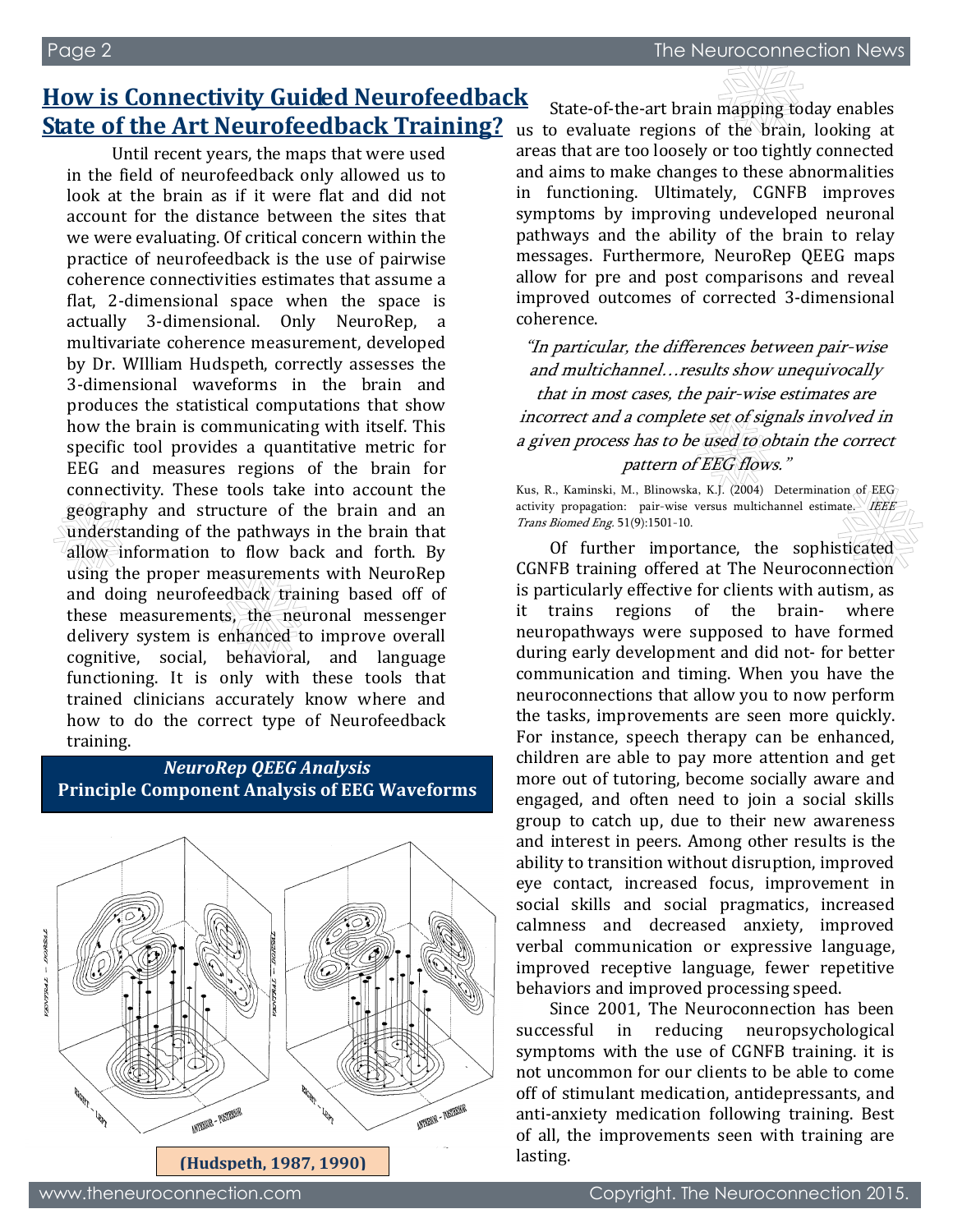## **How is Connectivity Guided Neurofeedback State of the Art Neurofeedback Training?**

Until recent years, the maps that were used in the field of neurofeedback only allowed us to look at the brain as if it were flat and did not account for the distance between the sites that we were evaluating. Of critical concern within the practice of neurofeedback is the use of pairwise coherence connectivities estimates that assume a flat, 2-dimensional space when the space is actually 3-dimensional. Only NeuroRep, a multivariate coherence measurement, developed by Dr. WIlliam Hudspeth, correctly assesses the 3-dimensional waveforms in the brain and produces the statistical computations that show how the brain is communicating with itself. This specific tool provides a quantitative metric for EEG and measures regions of the brain for connectivity. These tools take into account the geography and structure of the brain and an understanding of the pathways in the brain that allow information to flow back and forth. By using the proper measurements with NeuroRep and doing neurofeedback training based off of these measurements, the neuronal messenger delivery system is enhanced to improve overall cognitive, social, behavioral, and language functioning. It is only with these tools that trained clinicians accurately know where and how to do the correct type of Neurofeedback training.

#### *NeuroRep QEEG Analysis* **Principle Component Analysis of EEG Waveforms**



State-of-the-art brain mapping today enables us to evaluate regions of the brain, looking at areas that are too loosely or too tightly connected and aims to make changes to these abnormalities in functioning. Ultimately, CGNFB improves symptoms by improving undeveloped neuronal pathways and the ability of the brain to relay messages. Furthermore, NeuroRep QEEG maps allow for pre and post comparisons and reveal improved outcomes of corrected 3-dimensional coherence.

"In particular, the differences between pair-wise and multichannel…results show unequivocally that in most cases, the pair-wise estimates are incorrect and a complete set of signals involved in a given process has to be used to obtain the correct pattern of EEG flows."

Kus, R., Kaminski, M., Blinowska, K.J. (2004) Determination of EEG activity propagation: pair-wise versus multichannel estimate. IEEE Trans Biomed Eng. 51(9):1501-10.

Of further importance, the sophisticated CGNFB training offered at The Neuroconnection is particularly effective for clients with autism, as it trains regions of the brain- where neuropathways were supposed to have formed during early development and did not- for better communication and timing. When you have the neuroconnections that allow you to now perform the tasks, improvements are seen more quickly. For instance, speech therapy can be enhanced, children are able to pay more attention and get more out of tutoring, become socially aware and engaged, and often need to join a social skills group to catch up, due to their new awareness and interest in peers. Among other results is the ability to transition without disruption, improved eye contact, increased focus, improvement in social skills and social pragmatics, increased calmness and decreased anxiety, improved verbal communication or expressive language, improved receptive language, fewer repetitive behaviors and improved processing speed.

Since 2001, The Neuroconnection has been successful in reducing neuropsychological symptoms with the use of CGNFB training. it is not uncommon for our clients to be able to come off of stimulant medication, antidepressants, and anti-anxiety medication following training. Best of all, the improvements seen with training are lasting.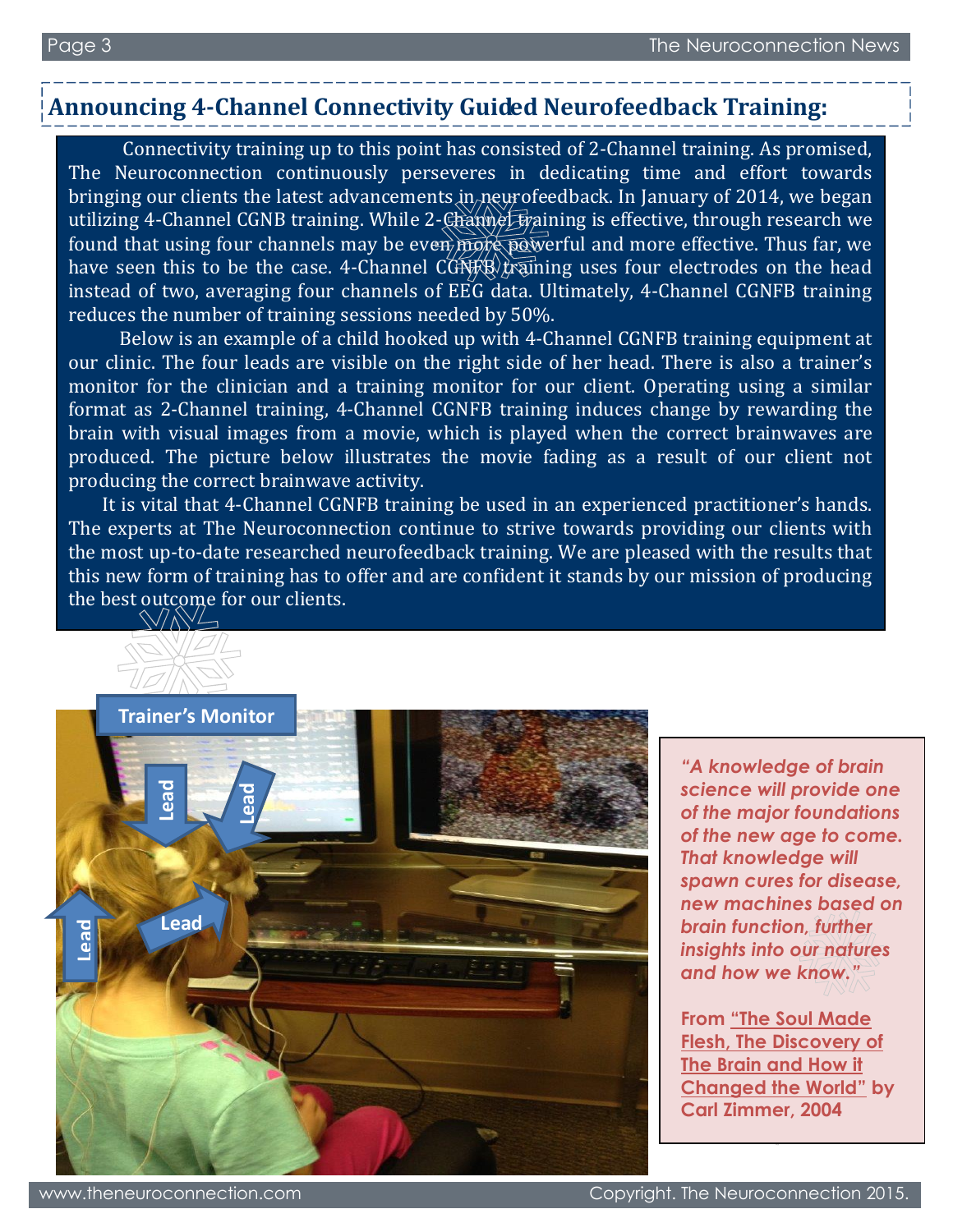## **Announcing 4-Channel Connectivity Guided Neurofeedback Training:**

 Connectivity training up to this point has consisted of 2-Channel training. As promised, The Neuroconnection continuously perseveres in dedicating time and effort towards bringing our clients the latest advancements in neurofeedback. In January of 2014, we began utilizing 4-Channel CGNB training. While 2-Channel training is effective, through research we found that using four channels may be even more powerful and more effective. Thus far, we have seen this to be the case. 4-Channel CONFB training uses four electrodes on the head instead of two, averaging four channels of EEG data. Ultimately, 4-Channel CGNFB training reduces the number of training sessions needed by 50%.

 Below is an example of a child hooked up with 4-Channel CGNFB training equipment at our clinic. The four leads are visible on the right side of her head. There is also a trainer's monitor for the clinician and a training monitor for our client. Operating using a similar format as 2-Channel training, 4-Channel CGNFB training induces change by rewarding the brain with visual images from a movie, which is played when the correct brainwaves are produced. The picture below illustrates the movie fading as a result of our client not producing the correct brainwave activity.

It is vital that 4-Channel CGNFB training be used in an experienced practitioner's hands. The experts at The Neuroconnection continue to strive towards providing our clients with the most up-to-date researched neurofeedback training. We are pleased with the results that this new form of training has to offer and are confident it stands by our mission of producing the best outcome for our clients.



*"A knowledge of brain science will provide one of the major foundations of the new age to come. That knowledge will spawn cures for disease, new machines based on brain function, further insights into our natures and how we know."*

**From "The Soul Made Flesh, The Discovery of The Brain and How it Changed the World" by Carl Zimmer, 2004**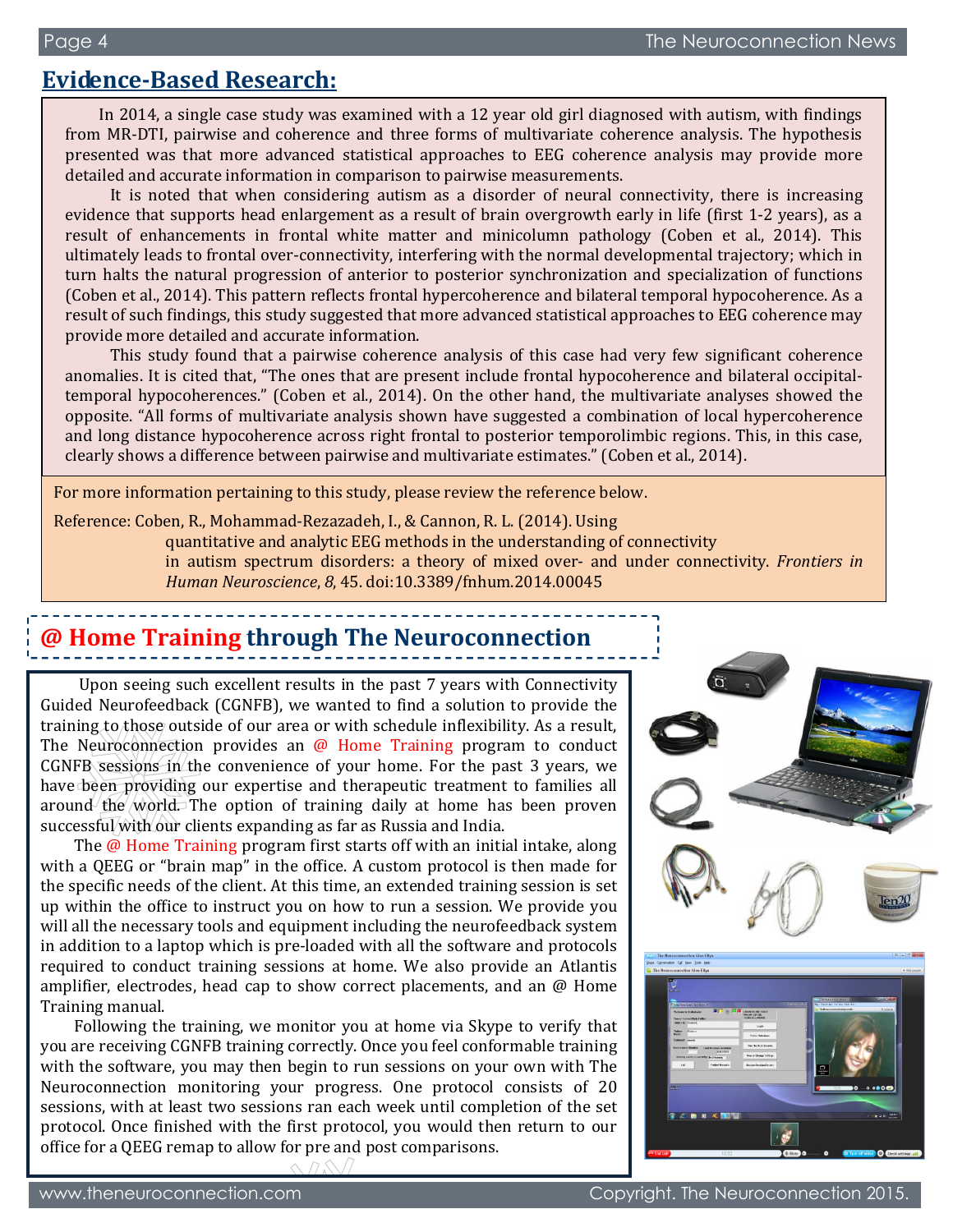## **Evidence-Based Research:**

In 2014, a single case study was examined with a 12 year old girl diagnosed with autism, with findings from MR-DTI, pairwise and coherence and three forms of multivariate coherence analysis. The hypothesis presented was that more advanced statistical approaches to EEG coherence analysis may provide more detailed and accurate information in comparison to pairwise measurements.

It is noted that when considering autism as a disorder of neural connectivity, there is increasing evidence that supports head enlargement as a result of brain overgrowth early in life (first 1-2 years), as a result of enhancements in frontal white matter and minicolumn pathology (Coben et al., 2014). This ultimately leads to frontal over-connectivity, interfering with the normal developmental trajectory; which in turn halts the natural progression of anterior to posterior synchronization and specialization of functions (Coben et al., 2014). This pattern reflects frontal hypercoherence and bilateral temporal hypocoherence. As a result of such findings, this study suggested that more advanced statistical approaches to EEG coherence may provide more detailed and accurate information.

 clearly shows a difference between pairwise and multivariate estimates." (Coben et al., 2014). This study found that a pairwise coherence analysis of this case had very few significant coherence anomalies. It is cited that, "The ones that are present include frontal hypocoherence and bilateral occipitaltemporal hypocoherences." (Coben et al., 2014). On the other hand, the multivariate analyses showed the opposite. "All forms of multivariate analysis shown have suggested a combination of local hypercoherence and long distance hypocoherence across right frontal to posterior temporolimbic regions. This, in this case,

For more information pertaining to this study, please review the reference below.

Reference: Coben, R., Mohammad-Rezazadeh, I., & Cannon, R. L. (2014). Using

quantitative and analytic EEG methods in the understanding of connectivity

in autism spectrum disorders: a theory of mixed over- and under connectivity. *Frontiers in Human Neuroscience*, *8*, 45. doi:10.3389/fnhum.2014.00045

# **@ Home Training through The Neuroconnection**

Upon seeing such excellent results in the past 7 years with Connectivity Guided Neurofeedback (CGNFB), we wanted to find a solution to provide the training to those outside of our area or with schedule inflexibility. As a result, The Neuroconnection provides an  $\omega$  Home Training program to conduct  $CGNFB$  sessions in the convenience of your home. For the past 3 years, we have been providing our expertise and therapeutic treatment to families all around the world. The option of training daily at home has been proven successful with our clients expanding as far as Russia and India.

The @ Home Training program first starts off with an initial intake, along with a QEEG or "brain map" in the office. A custom protocol is then made for the specific needs of the client. At this time, an extended training session is set up within the office to instruct you on how to run a session. We provide you will all the necessary tools and equipment including the neurofeedback system in addition to a laptop which is pre-loaded with all the software and protocols required to conduct training sessions at home. We also provide an Atlantis amplifier, electrodes, head cap to show correct placements, and an @ Home Training manual.

Following the training, we monitor you at home via Skype to verify that you are receiving CGNFB training correctly. Once you feel conformable training with the software, you may then begin to run sessions on your own with The Neuroconnection monitoring your progress. One protocol consists of 20 sessions, with at least two sessions ran each week until completion of the set protocol. Once finished with the first protocol, you would then return to our office for a QEEG remap to allow for pre and post comparisons.